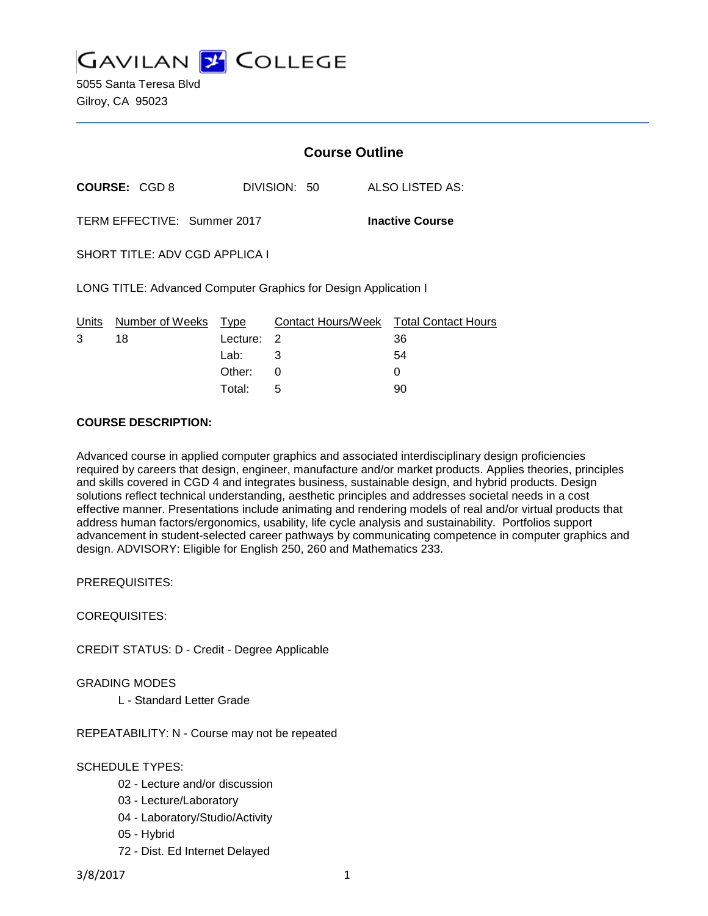

|                                                       |                                                                 | <b>Course Outline</b> |              |                                              |  |
|-------------------------------------------------------|-----------------------------------------------------------------|-----------------------|--------------|----------------------------------------------|--|
|                                                       | <b>COURSE: CGD 8</b>                                            |                       | DIVISION: 50 | ALSO LISTED AS:                              |  |
| TERM EFFECTIVE: Summer 2017<br><b>Inactive Course</b> |                                                                 |                       |              |                                              |  |
| <b>SHORT TITLE: ADV CGD APPLICA I</b>                 |                                                                 |                       |              |                                              |  |
|                                                       | LONG TITLE: Advanced Computer Graphics for Design Application I |                       |              |                                              |  |
| Units<br>3                                            | Number of Weeks<br>18                                           | Type<br>Lecture:      | 2            | Contact Hours/Week Total Contact Hours<br>36 |  |
|                                                       |                                                                 | Lab:                  | 3            | 54                                           |  |
|                                                       |                                                                 | Other:                | 0            | 0                                            |  |

Total: 5 90

#### **COURSE DESCRIPTION:**

Advanced course in applied computer graphics and associated interdisciplinary design proficiencies required by careers that design, engineer, manufacture and/or market products. Applies theories, principles and skills covered in CGD 4 and integrates business, sustainable design, and hybrid products. Design solutions reflect technical understanding, aesthetic principles and addresses societal needs in a cost effective manner. Presentations include animating and rendering models of real and/or virtual products that address human factors/ergonomics, usability, life cycle analysis and sustainability. Portfolios support advancement in student-selected career pathways by communicating competence in computer graphics and design. ADVISORY: Eligible for English 250, 260 and Mathematics 233.

PREREQUISITES:

COREQUISITES:

CREDIT STATUS: D - Credit - Degree Applicable

GRADING MODES

L - Standard Letter Grade

REPEATABILITY: N - Course may not be repeated

SCHEDULE TYPES:

- 02 Lecture and/or discussion
- 03 Lecture/Laboratory
- 04 Laboratory/Studio/Activity
- 05 Hybrid
- 72 Dist. Ed Internet Delayed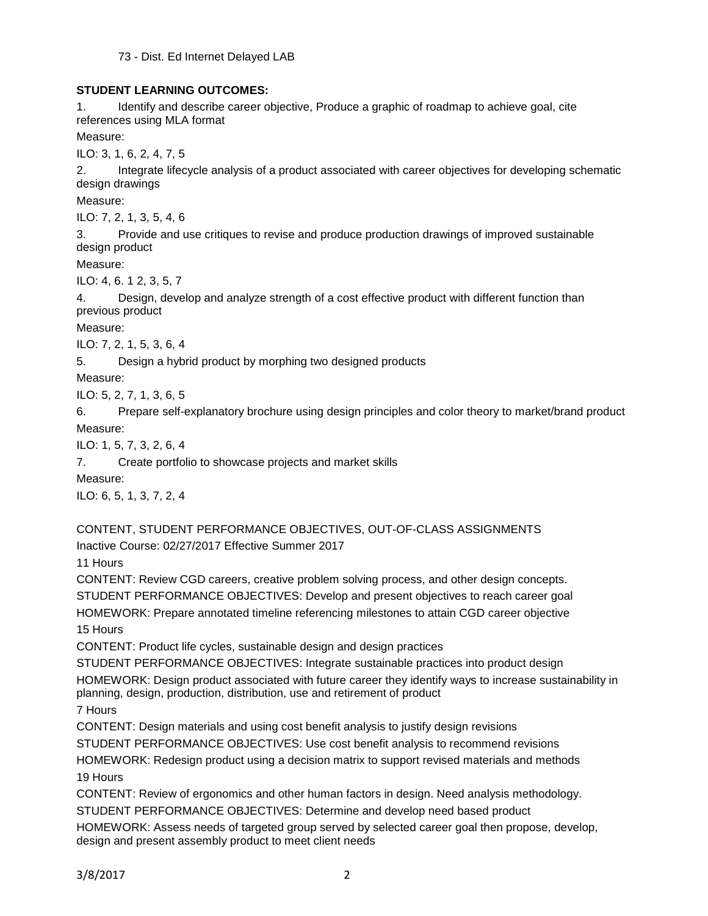73 - Dist. Ed Internet Delayed LAB

# **STUDENT LEARNING OUTCOMES:**

1. Identify and describe career objective, Produce a graphic of roadmap to achieve goal, cite references using MLA format

Measure:

ILO: 3, 1, 6, 2, 4, 7, 5

2. Integrate lifecycle analysis of a product associated with career objectives for developing schematic design drawings

Measure:

ILO: 7, 2, 1, 3, 5, 4, 6

3. Provide and use critiques to revise and produce production drawings of improved sustainable design product

Measure:

ILO: 4, 6. 1 2, 3, 5, 7

4. Design, develop and analyze strength of a cost effective product with different function than previous product

Measure:

ILO: 7, 2, 1, 5, 3, 6, 4

5. Design a hybrid product by morphing two designed products

Measure:

ILO: 5, 2, 7, 1, 3, 6, 5

6. Prepare self-explanatory brochure using design principles and color theory to market/brand product Measure:

ILO: 1, 5, 7, 3, 2, 6, 4

7. Create portfolio to showcase projects and market skills

Measure:

ILO: 6, 5, 1, 3, 7, 2, 4

CONTENT, STUDENT PERFORMANCE OBJECTIVES, OUT-OF-CLASS ASSIGNMENTS

Inactive Course: 02/27/2017 Effective Summer 2017

11 Hours

CONTENT: Review CGD careers, creative problem solving process, and other design concepts. STUDENT PERFORMANCE OBJECTIVES: Develop and present objectives to reach career goal

HOMEWORK: Prepare annotated timeline referencing milestones to attain CGD career objective

15 Hours

CONTENT: Product life cycles, sustainable design and design practices

STUDENT PERFORMANCE OBJECTIVES: Integrate sustainable practices into product design

HOMEWORK: Design product associated with future career they identify ways to increase sustainability in planning, design, production, distribution, use and retirement of product

7 Hours

CONTENT: Design materials and using cost benefit analysis to justify design revisions

STUDENT PERFORMANCE OBJECTIVES: Use cost benefit analysis to recommend revisions

HOMEWORK: Redesign product using a decision matrix to support revised materials and methods 19 Hours

CONTENT: Review of ergonomics and other human factors in design. Need analysis methodology.

STUDENT PERFORMANCE OBJECTIVES: Determine and develop need based product

HOMEWORK: Assess needs of targeted group served by selected career goal then propose, develop, design and present assembly product to meet client needs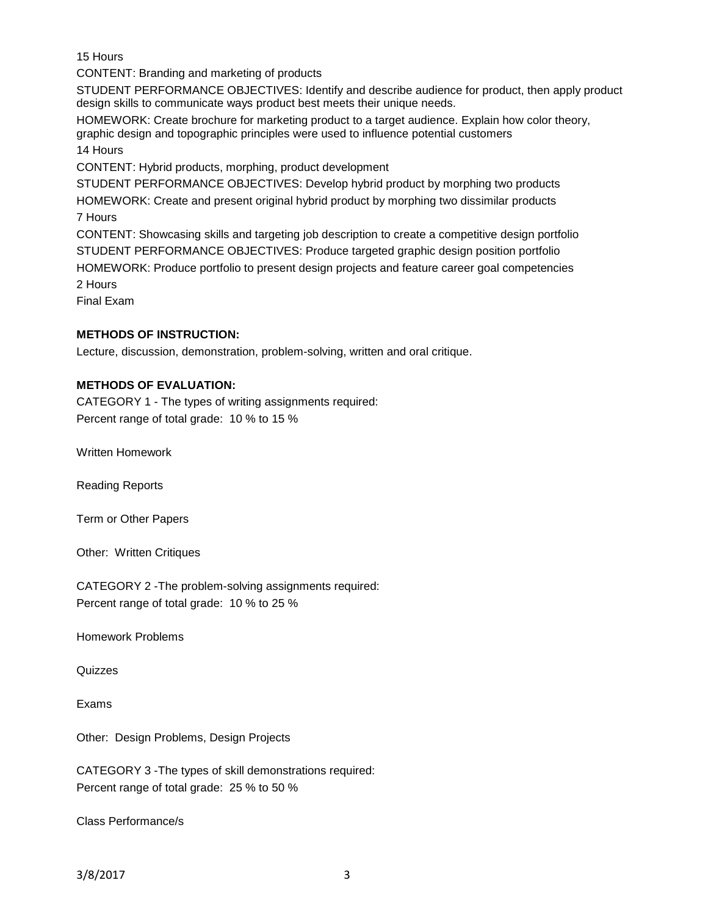15 Hours

CONTENT: Branding and marketing of products

STUDENT PERFORMANCE OBJECTIVES: Identify and describe audience for product, then apply product design skills to communicate ways product best meets their unique needs.

HOMEWORK: Create brochure for marketing product to a target audience. Explain how color theory, graphic design and topographic principles were used to influence potential customers 14 Hours

CONTENT: Hybrid products, morphing, product development

STUDENT PERFORMANCE OBJECTIVES: Develop hybrid product by morphing two products HOMEWORK: Create and present original hybrid product by morphing two dissimilar products 7 Hours CONTENT: Showcasing skills and targeting job description to create a competitive design portfolio

STUDENT PERFORMANCE OBJECTIVES: Produce targeted graphic design position portfolio HOMEWORK: Produce portfolio to present design projects and feature career goal competencies 2 Hours

Final Exam

# **METHODS OF INSTRUCTION:**

Lecture, discussion, demonstration, problem-solving, written and oral critique.

## **METHODS OF EVALUATION:**

CATEGORY 1 - The types of writing assignments required: Percent range of total grade: 10 % to 15 %

Written Homework

Reading Reports

Term or Other Papers

Other: Written Critiques

CATEGORY 2 -The problem-solving assignments required: Percent range of total grade: 10 % to 25 %

Homework Problems

Quizzes

Exams

Other: Design Problems, Design Projects

CATEGORY 3 -The types of skill demonstrations required: Percent range of total grade: 25 % to 50 %

Class Performance/s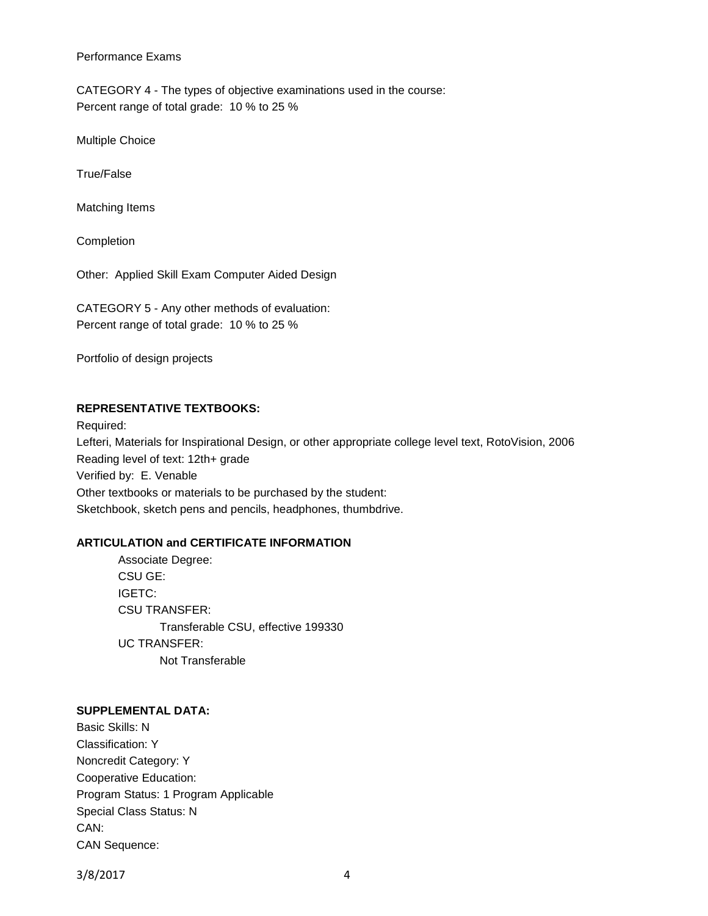#### Performance Exams

CATEGORY 4 - The types of objective examinations used in the course: Percent range of total grade: 10 % to 25 %

Multiple Choice

True/False

Matching Items

Completion

Other: Applied Skill Exam Computer Aided Design

CATEGORY 5 - Any other methods of evaluation: Percent range of total grade: 10 % to 25 %

Portfolio of design projects

## **REPRESENTATIVE TEXTBOOKS:**

Required: Lefteri, Materials for Inspirational Design, or other appropriate college level text, RotoVision, 2006 Reading level of text: 12th+ grade Verified by: E. Venable Other textbooks or materials to be purchased by the student: Sketchbook, sketch pens and pencils, headphones, thumbdrive.

### **ARTICULATION and CERTIFICATE INFORMATION**

Associate Degree: CSU GE: IGETC: CSU TRANSFER: Transferable CSU, effective 199330 UC TRANSFER: Not Transferable

### **SUPPLEMENTAL DATA:**

Basic Skills: N Classification: Y Noncredit Category: Y Cooperative Education: Program Status: 1 Program Applicable Special Class Status: N CAN: CAN Sequence:

3/8/2017 4